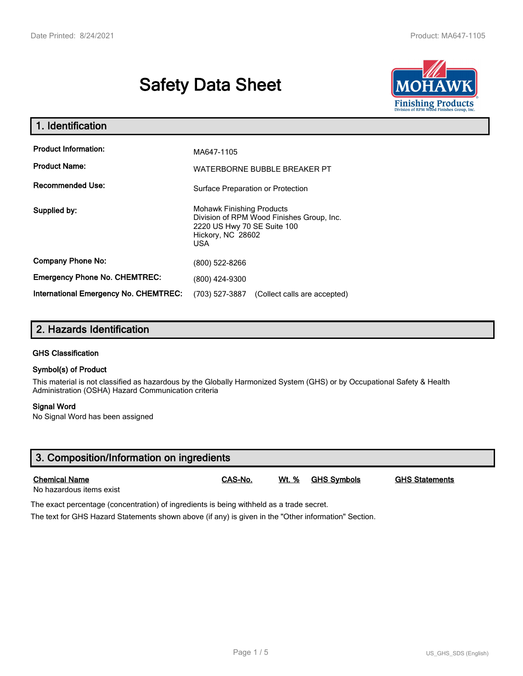# **Safety Data Sheet**



| 1. Identification                                   |                                                                                                                                                                                |  |  |
|-----------------------------------------------------|--------------------------------------------------------------------------------------------------------------------------------------------------------------------------------|--|--|
| <b>Product Information:</b><br><b>Product Name:</b> | MA647-1105<br>WATERBORNE BUBBLE BREAKER PT                                                                                                                                     |  |  |
| <b>Recommended Use:</b>                             | Surface Preparation or Protection<br><b>Mohawk Finishing Products</b><br>Division of RPM Wood Finishes Group, Inc.<br>2220 US Hwy 70 SE Suite 100<br>Hickory, NC 28602<br>USA. |  |  |
| Supplied by:                                        |                                                                                                                                                                                |  |  |
| <b>Company Phone No:</b>                            | (800) 522-8266                                                                                                                                                                 |  |  |
| <b>Emergency Phone No. CHEMTREC:</b>                | (800) 424-9300                                                                                                                                                                 |  |  |
| International Emergency No. CHEMTREC:               | (703) 527-3887<br>(Collect calls are accepted)                                                                                                                                 |  |  |

## **2. Hazards Identification**

#### **GHS Classification**

#### **Symbol(s) of Product**

This material is not classified as hazardous by the Globally Harmonized System (GHS) or by Occupational Safety & Health Administration (OSHA) Hazard Communication criteria

#### **Signal Word**

No Signal Word has been assigned

| 3. Composition/Information on ingredients        |         |       |                    |                       |  |  |
|--------------------------------------------------|---------|-------|--------------------|-----------------------|--|--|
| <b>Chemical Name</b><br>No hazardous items exist | CAS-No. | Wt. % | <b>GHS Svmbols</b> | <b>GHS Statements</b> |  |  |

The exact percentage (concentration) of ingredients is being withheld as a trade secret.

The text for GHS Hazard Statements shown above (if any) is given in the "Other information" Section.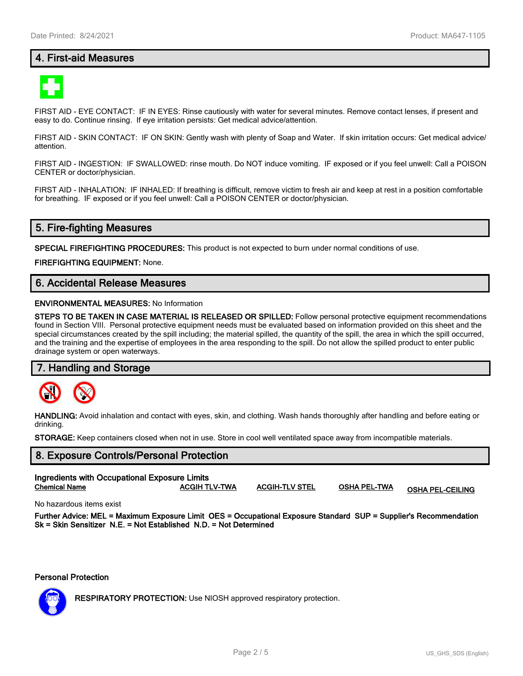## **4. First-aid Measures**



FIRST AID - EYE CONTACT: IF IN EYES: Rinse cautiously with water for several minutes. Remove contact lenses, if present and easy to do. Continue rinsing. If eye irritation persists: Get medical advice/attention.

FIRST AID - SKIN CONTACT: IF ON SKIN: Gently wash with plenty of Soap and Water. If skin irritation occurs: Get medical advice/ attention.

FIRST AID - INGESTION: IF SWALLOWED: rinse mouth. Do NOT induce vomiting. IF exposed or if you feel unwell: Call a POISON CENTER or doctor/physician.

FIRST AID - INHALATION: IF INHALED: If breathing is difficult, remove victim to fresh air and keep at rest in a position comfortable for breathing. IF exposed or if you feel unwell: Call a POISON CENTER or doctor/physician.

## **5. Fire-fighting Measures**

**SPECIAL FIREFIGHTING PROCEDURES:** This product is not expected to burn under normal conditions of use.

**FIREFIGHTING EQUIPMENT:** None.

## **6. Accidental Release Measures**

#### **ENVIRONMENTAL MEASURES:** No Information

**STEPS TO BE TAKEN IN CASE MATERIAL IS RELEASED OR SPILLED:** Follow personal protective equipment recommendations found in Section VIII. Personal protective equipment needs must be evaluated based on information provided on this sheet and the special circumstances created by the spill including; the material spilled, the quantity of the spill, the area in which the spill occurred, and the training and the expertise of employees in the area responding to the spill. Do not allow the spilled product to enter public drainage system or open waterways.

#### **7. Handling and Storage**



**HANDLING:** Avoid inhalation and contact with eyes, skin, and clothing. Wash hands thoroughly after handling and before eating or drinking.

**STORAGE:** Keep containers closed when not in use. Store in cool well ventilated space away from incompatible materials.

## **8. Exposure Controls/Personal Protection Ingredients with Occupational Exposure Limits**

**Chemical Name ACGIH TLV-TWA ACGIH-TLV STEL OSHA PEL-TWA OSHA PEL-CEILING**

No hazardous items exist

**Further Advice: MEL = Maximum Exposure Limit OES = Occupational Exposure Standard SUP = Supplier's Recommendation Sk = Skin Sensitizer N.E. = Not Established N.D. = Not Determined**

#### **Personal Protection**



**RESPIRATORY PROTECTION:** Use NIOSH approved respiratory protection.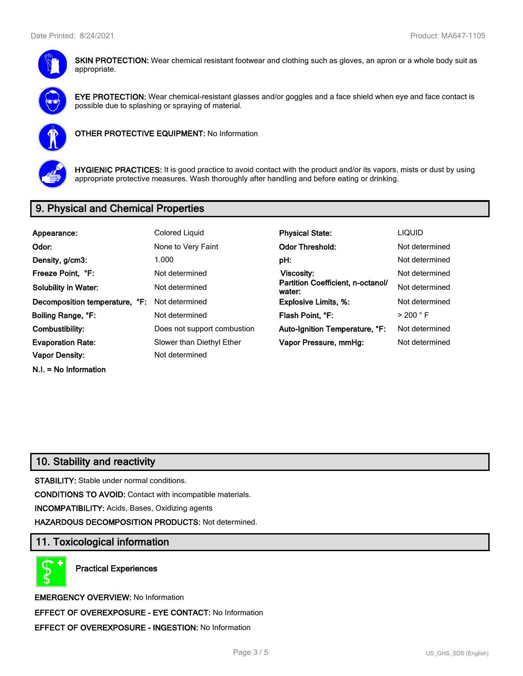

**SKIN PROTECTION:** Wear chemical resistant footwear and clothing such as gloves, an apron or a whole body suit as appropriate.



**EYE PROTECTION:** Wear chemical-resistant glasses and/or goggles and a face shield when eye and face contact is possible due to splashing or spraying of material.



**OTHER PROTECTIVE EQUIPMENT:** No Information



**HYGIENIC PRACTICES:** It is good practice to avoid contact with the product and/or its vapors, mists or dust by using appropriate protective measures. Wash thoroughly after handling and before eating or drinking.

## **9. Physical and Chemical Properties**

| Appearance:                    | Colored Liquid              | <b>Physical State:</b>                      | <b>LIQUID</b>        |  |
|--------------------------------|-----------------------------|---------------------------------------------|----------------------|--|
| Odor:                          | None to Very Faint          | <b>Odor Threshold:</b>                      | Not determined       |  |
| Density, g/cm3:                | 1.000                       | pH:                                         | Not determined       |  |
| Freeze Point, °F:              | Not determined              | <b>Viscosity:</b>                           | Not determined       |  |
| <b>Solubility in Water:</b>    | Not determined              | Partition Coefficient, n-octanol/<br>water: | Not determined       |  |
| Decomposition temperature, °F: | Not determined              | <b>Explosive Limits, %:</b>                 | Not determined       |  |
| Boiling Range, °F:             | Not determined              | Flash Point, °F:                            | $>$ 200 $^{\circ}$ F |  |
| Combustibility:                | Does not support combustion | Auto-Ignition Temperature, °F:              | Not determined       |  |
| <b>Evaporation Rate:</b>       | Slower than Diethyl Ether   | Vapor Pressure, mmHg:                       | Not determined       |  |
| <b>Vapor Density:</b>          | Not determined              |                                             |                      |  |
| $N.I. = No Information$        |                             |                                             |                      |  |

## **10. Stability and reactivity**

**STABILITY:** Stable under normal conditions.

**CONDITIONS TO AVOID:** Contact with incompatible materials.

**INCOMPATIBILITY:** Acids, Bases, Oxidizing agents

**HAZARDOUS DECOMPOSITION PRODUCTS:** Not determined.

## **11. Toxicological information**

**Practical Experiences**

**EMERGENCY OVERVIEW:** No Information **EFFECT OF OVEREXPOSURE - EYE CONTACT:** No Information **EFFECT OF OVEREXPOSURE - INGESTION:** No Information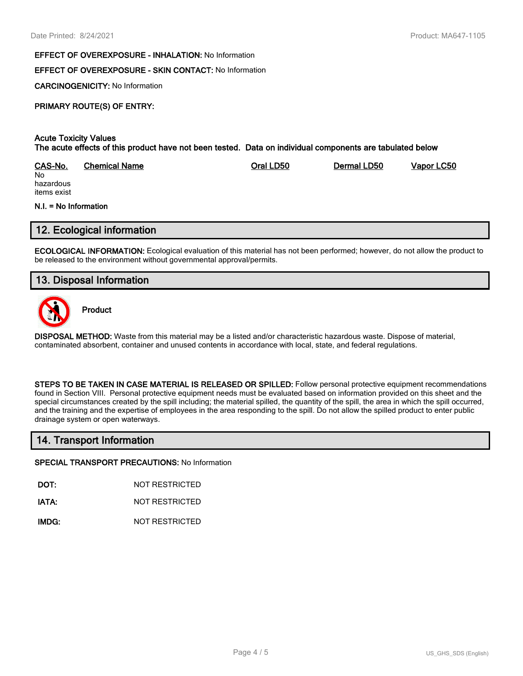#### **EFFECT OF OVEREXPOSURE - INHALATION:** No Information

#### **EFFECT OF OVEREXPOSURE - SKIN CONTACT:** No Information

**CARCINOGENICITY:** No Information

#### **PRIMARY ROUTE(S) OF ENTRY:**

#### **Acute Toxicity Values The acute effects of this product have not been tested. Data on individual components are tabulated below**

| CAS-No.   | Chemical Name | Oral LD50 | Dermal LD50 | Vapor LC50 |
|-----------|---------------|-----------|-------------|------------|
| No        |               |           |             |            |
| hazardous |               |           |             |            |

hazardous items exist

#### **N.I. = No Information**

## **12. Ecological information**

**ECOLOGICAL INFORMATION:** Ecological evaluation of this material has not been performed; however, do not allow the product to be released to the environment without governmental approval/permits.

## **13. Disposal Information**



**Product**

**DISPOSAL METHOD:** Waste from this material may be a listed and/or characteristic hazardous waste. Dispose of material, contaminated absorbent, container and unused contents in accordance with local, state, and federal regulations.

**STEPS TO BE TAKEN IN CASE MATERIAL IS RELEASED OR SPILLED:** Follow personal protective equipment recommendations found in Section VIII. Personal protective equipment needs must be evaluated based on information provided on this sheet and the special circumstances created by the spill including; the material spilled, the quantity of the spill, the area in which the spill occurred, and the training and the expertise of employees in the area responding to the spill. Do not allow the spilled product to enter public drainage system or open waterways.

### **14. Transport Information**

#### **SPECIAL TRANSPORT PRECAUTIONS:** No Information

**DOT:** NOT RESTRICTED

**IATA:** NOT RESTRICTED

**IMDG:** NOT RESTRICTED